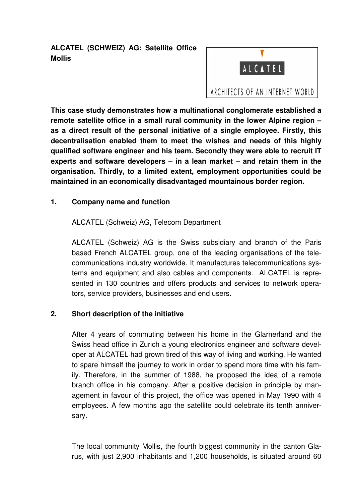**ALCATEL (SCHWEIZ) AG: Satellite Office Mollis** 



**This case study demonstrates how a multinational conglomerate established a remote satellite office in a small rural community in the lower Alpine region – as a direct result of the personal initiative of a single employee. Firstly, this decentralisation enabled them to meet the wishes and needs of this highly qualified software engineer and his team. Secondly they were able to recruit IT experts and software developers – in a lean market – and retain them in the organisation. Thirdly, to a limited extent, employment opportunities could be maintained in an economically disadvantaged mountainous border region.** 

## **1. Company name and function**

ALCATEL (Schweiz) AG, Telecom Department

ALCATEL (Schweiz) AG is the Swiss subsidiary and branch of the Paris based French ALCATEL group, one of the leading organisations of the telecommunications industry worldwide. It manufactures telecommunications systems and equipment and also cables and components. ALCATEL is represented in 130 countries and offers products and services to network operators, service providers, businesses and end users.

## **2. Short description of the initiative**

After 4 years of commuting between his home in the Glarnerland and the Swiss head office in Zurich a young electronics engineer and software developer at ALCATEL had grown tired of this way of living and working. He wanted to spare himself the journey to work in order to spend more time with his family. Therefore, in the summer of 1988, he proposed the idea of a remote branch office in his company. After a positive decision in principle by management in favour of this project, the office was opened in May 1990 with 4 employees. A few months ago the satellite could celebrate its tenth anniversary.

The local community Mollis, the fourth biggest community in the canton Glarus, with just 2,900 inhabitants and 1,200 households, is situated around 60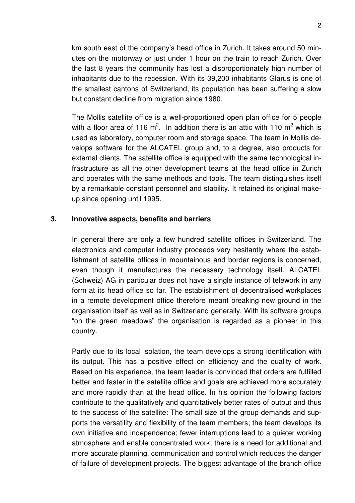km south east of the company's head office in Zurich. It takes around 50 minutes on the motorway or just under 1 hour on the train to reach Zurich. Over the last 8 years the community has lost a disproportionately high number of inhabitants due to the recession. With its 39,200 inhabitants Glarus is one of the smallest cantons of Switzerland, its population has been suffering a slow but constant decline from migration since 1980.

The Mollis satellite office is a well-proportioned open plan office for 5 people with a floor area of 116 m<sup>2</sup>. In addition there is an attic with 110 m<sup>2</sup> which is used as laboratory, computer room and storage space. The team in Mollis develops software for the ALCATEL group and, to a degree, also products for external clients. The satellite office is equipped with the same technological infrastructure as all the other development teams at the head office in Zurich and operates with the same methods and tools. The team distinguishes itself by a remarkable constant personnel and stability. It retained its original makeup since opening until 1995.

## **3. Innovative aspects, benefits and barriers**

In general there are only a few hundred satellite offices in Switzerland. The electronics and computer industry proceeds very hesitantly where the establishment of satellite offices in mountainous and border regions is concerned, even though it manufactures the necessary technology itself. ALCATEL (Schweiz) AG in particular does not have a single instance of telework in any form at its head office so far. The establishment of decentralised workplaces in a remote development office therefore meant breaking new ground in the organisation itself as well as in Switzerland generally. With its software groups "on the green meadows" the organisation is regarded as a pioneer in this country.

Partly due to its local isolation, the team develops a strong identification with its output. This has a positive effect on efficiency and the quality of work. Based on his experience, the team leader is convinced that orders are fulfilled better and faster in the satellite office and goals are achieved more accurately and more rapidly than at the head office. In his opinion the following factors contribute to the qualitatively and quantitatively better rates of output and thus to the success of the satellite: The small size of the group demands and supports the versatility and flexibility of the team members; the team develops its own initiative and independence; fewer interruptions lead to a quieter working atmosphere and enable concentrated work; there is a need for additional and more accurate planning, communication and control which reduces the danger of failure of development projects. The biggest advantage of the branch office